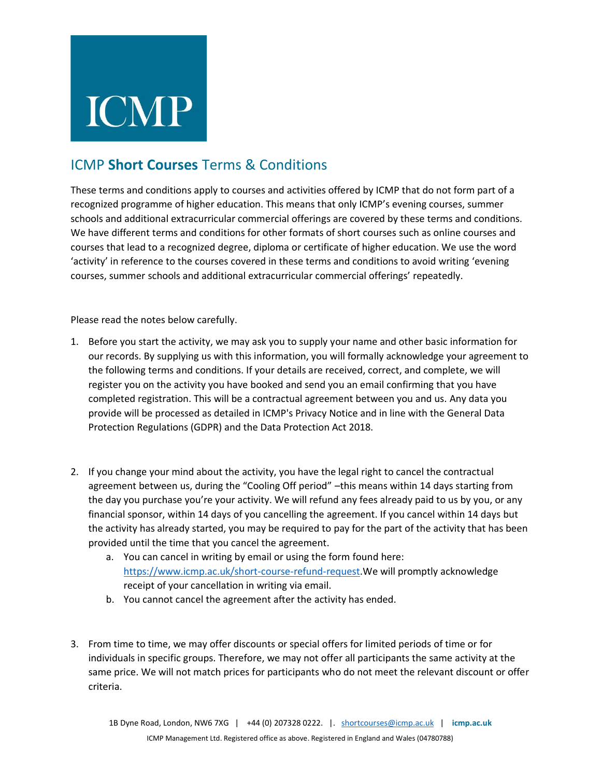## **ICMP**

## ICMP **Short Courses** Terms & Conditions

These terms and conditions apply to courses and activities offered by ICMP that do not form part of a recognized programme of higher education. This means that only ICMP's evening courses, summer schools and additional extracurricular commercial offerings are covered by these terms and conditions. We have different terms and conditions for other formats of short courses such as online courses and courses that lead to a recognized degree, diploma or certificate of higher education. We use the word 'activity' in reference to the courses covered in these terms and conditions to avoid writing 'evening courses, summer schools and additional extracurricular commercial offerings' repeatedly.

Please read the notes below carefully.

- 1. Before you start the activity, we may ask you to supply your name and other basic information for our records. By supplying us with this information, you will formally acknowledge your agreement to the following terms and conditions. If your details are received, correct, and complete, we will register you on the activity you have booked and send you an email confirming that you have completed registration. This will be a contractual agreement between you and us. Any data you provide will be processed as detailed in ICMP's Privacy Notice and in line with the General Data Protection Regulations (GDPR) and the Data Protection Act 2018.
- 2. If you change your mind about the activity, you have the legal right to cancel the contractual agreement between us, during the "Cooling Off period" –this means within 14 days starting from the day you purchase you're your activity. We will refund any fees already paid to us by you, or any financial sponsor, within 14 days of you cancelling the agreement. If you cancel within 14 days but the activity has already started, you may be required to pay for the part of the activity that has been provided until the time that you cancel the agreement.
	- a. You can cancel in writing by email or using the form found here: [https://www.icmp.ac.uk/short-course-refund-request.](https://www.icmp.ac.uk/short-course-refund-request)We will promptly acknowledge receipt of your cancellation in writing via email.
	- b. You cannot cancel the agreement after the activity has ended.
- 3. From time to time, we may offer discounts or special offers for limited periods of time or for individuals in specific groups. Therefore, we may not offer all participants the same activity at the same price. We will not match prices for participants who do not meet the relevant discount or offer criteria.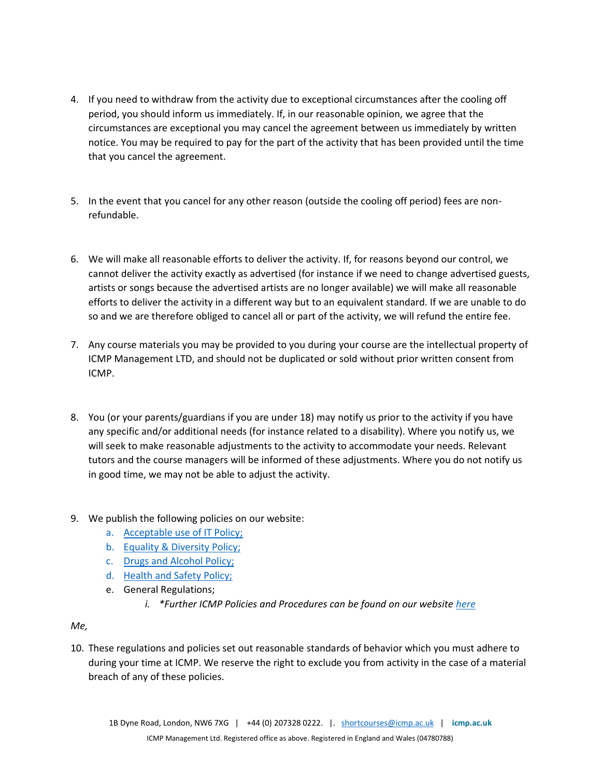- 4. If you need to withdraw from the activity due to exceptional circumstances after the cooling off period, you should inform us immediately. If, in our reasonable opinion, we agree that the circumstances are exceptional you may cancel the agreement between us immediately by written notice. You may be required to pay for the part of the activity that has been provided until the time that you cancel the agreement.
- 5. In the event that you cancel for any other reason (outside the cooling off period) fees are nonrefundable.
- 6. We will make all reasonable efforts to deliver the activity. If, for reasons beyond our control, we cannot deliver the activity exactly as advertised (for instance if we need to change advertised guests, artists or songs because the advertised artists are no longer available) we will make all reasonable efforts to deliver the activity in a different way but to an equivalent standard. If we are unable to do so and we are therefore obliged to cancel all or part of the activity, we will refund the entire fee.
- 7. Any course materials you may be provided to you during your course are the intellectual property of ICMP Management LTD, and should not be duplicated or sold without prior written consent from ICMP.
- 8. You (or your parents/guardians if you are under 18) may notify us prior to the activity if you have any specific and/or additional needs (for instance related to a disability). Where you notify us, we will seek to make reasonable adjustments to the activity to accommodate your needs. Relevant tutors and the course managers will be informed of these adjustments. Where you do not notify us in good time, we may not be able to adjust the activity.
- 9. We publish the following policies on our website:
	- a. [Acceptable use of IT Policy;](https://www.icmp.ac.uk/sites/default/files/new/Governance/pol-hss-useofit.pdf)
	- b. [Equality & Diversity Policy;](https://www.icmp.ac.uk/sites/default/files/new/Governance/pol-auco-hs.pdf)
	- c. [Drugs and Alcohol Policy;](https://www.icmp.ac.uk/sites/default/files/new/Governance/pol-ss-drugsandalcohol.pdf)
	- d. [Health and Safety Policy;](https://www.icmp.ac.uk/sites/default/files/new/Governance/pol-auco-hs.pdf)
	- e. General Regulations;
		- *i. \*Further ICMP Policies and Procedures can be found on our website [here](https://www.icmp.ac.uk/about-icmp/quality-and-governance/policies-and-key-documents)*

## *Me,*

10. These regulations and policies set out reasonable standards of behavior which you must adhere to during your time at ICMP. We reserve the right to exclude you from activity in the case of a material breach of any of these policies.